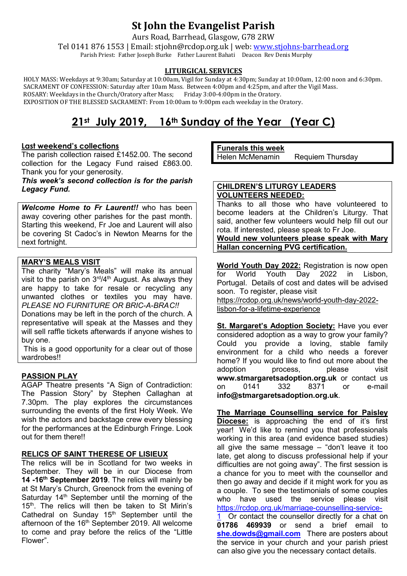# **St John the Evangelist Parish**

Aurs Road, Barrhead, Glasgow, G78 2RW

Tel 0141 876 1553 | Email: stjohn@rcdop.org.uk | web: [www.stjohns-barrhead.org](http://www.stjohns-barrhead.org/) Parish Priest: Father Joseph Burke Father Laurent Bahati Deacon Rev Denis Murphy

# **LITURGICAL SERVICES**

 HOLY MASS: Weekdays at 9:30am; Saturday at 10:00am, Vigil for Sunday at 4:30pm; Sunday at 10:00am, 12:00 noon and 6:30pm. SACRAMENT OF CONFESSION: Saturday after 10am Mass. Between 4:00pm and 4:25pm, and after the Vigil Mass. ROSARY: Weekdays in the Church/Oratory after Mass; Friday 3:00-4:00pm in the Oratory. EXPOSITION OF THE BLESSED SACRAMENT: From 10:00am to 9:00pm each weekday in the Oratory.

# **21st July 2019, 16th Sunday of the Year (Year C)**

# **Last weekend's collections**

The parish collection raised £1452.00. The second collection for the Legacy Fund raised £863.00. Thank you for your generosity.

#### *This week's second collection is for the parish Legacy Fund.*

*Welcome Home to Fr Laurent!!* who has been away covering other parishes for the past month. Starting this weekend, Fr Joe and Laurent will also be covering St Cadoc's in Newton Mearns for the next fortnight.

# **MARY'S MEALS VISIT**

The charity "Mary's Meals" will make its annual visit to the parish on 3<sup>rd</sup>/4<sup>th</sup> August. As always they are happy to take for resale or recycling any unwanted clothes or textiles you may have. *PLEASE NO FURNITURE OR BRIC-A-BRAC!!*

Donations may be left in the porch of the church. A representative will speak at the Masses and they will sell raffle tickets afterwards if anyone wishes to buy one.

This is a good opportunity for a clear out of those wardrobes!!

# **PASSION PLAY**

AGAP Theatre presents "A Sign of Contradiction: The Passion Story" by Stephen Callaghan at 7.30pm. The play explores the circumstances surrounding the events of the first Holy Week. We wish the actors and backstage crew every blessing for the performances at the Edinburgh Fringe. Look out for them there!!

# **RELICS OF SAINT THERESE OF LISIEUX**

The relics will be in Scotland for two weeks in September. They will be in our Diocese from **14 -16th September 2019**. The relics will mainly be at St Mary's Church, Greenock from the evening of Saturday  $14<sup>th</sup>$  September until the morning of the 15<sup>th</sup>. The relics will then be taken to St Mirin's Cathedral on Sunday 15<sup>th</sup> September until the afternoon of the 16<sup>th</sup> September 2019. All welcome to come and pray before the relics of the "Little Flower".

#### **Funerals this week**  Helen McMenamin Requiem Thursday

# **CHILDREN'S LITURGY LEADERS VOLUNTEERS NEEDED:**

Thanks to all those who have volunteered to become leaders at the Children's Liturgy. That said, another few volunteers would help fill out our rota. If interested, please speak to Fr Joe.

**Would new volunteers please speak with Mary Hallan concerning PVG certification.**

**World Youth Day 2022:** Registration is now open for World Youth Day 2022 in Lisbon, Portugal. Details of cost and dates will be advised soon. To register, please visit [https://rcdop.org.uk/news/world-youth-day-2022](https://rcdop.org.uk/news/world-youth-day-2022-lisbon-for-a-lifetime-experience) [lisbon-for-a-lifetime-experience](https://rcdop.org.uk/news/world-youth-day-2022-lisbon-for-a-lifetime-experience)

**St. Margaret's Adoption Society:** Have you ever considered adoption as a way to grow your family? Could you provide a loving, stable family environment for a child who needs a forever home? If you would like to find out more about the adoption process, because adoption process, please visit **[www.stmargaretsadoption.org.uk](http://www.stmargaretsadoption.org.uk/)** or contact us<br>on 0141 332 8371 or e-mail on 0141 332 8371 or e-mail **[info@stmargaretsadoption.org.uk](mailto:INFO@STMARGARETSADOPTION.ORG.UK)**.

**The Marriage Counselling service for Paisley Diocese:** is approaching the end of it's first year! We'd like to remind you that professionals working in this area (and evidence based studies) all give the same message  $-$  "don't leave it too late, get along to discuss professional help if your difficulties are not going away". The first session is a chance for you to meet with the counsellor and then go away and decide if it might work for you as a couple. To see the testimonials of some couples who have used the service please visit [https://rcdop.org.uk/marriage-counselling-service-](https://rcdop.org.uk/marriage-counselling-service-1) $1$  Or contact the counsellor directly for a chat on

**01786 469939** or send a brief email to **[she.dowds@gmail.com](mailto:she.dowds@gmail.com)** There are posters about the service in your church and your parish priest can also give you the necessary contact details.